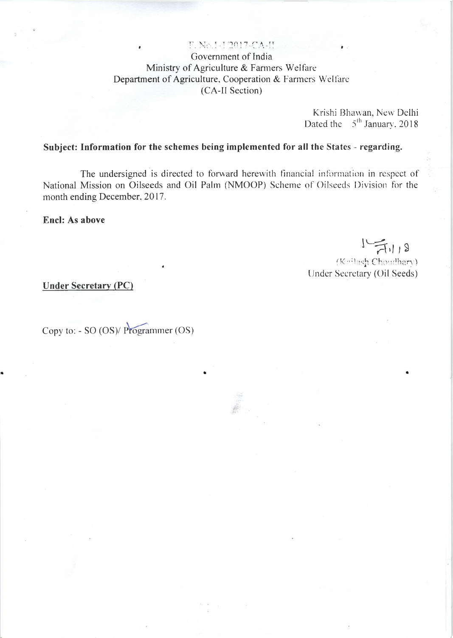### F. No.1-1/2017-CA-H

Government of India Ministry of Agriculture & Farmers Welfare Department of Agriculture, Cooperation & Farmers Welfare (CA-II Section)

> Krishi Bhawan, New Delhi Dated the  $5<sup>th</sup>$  January, 2018

## Subject: Information for the schemes being implemented for all the States - regarding.

The undersigned is directed to forward herewith financial information in respect of National Mission on Oilseeds and Oil Palm (NMOOP) Scheme of Oilseeds Division for the month ending December, 2017.

**Encl: As above** 

 $1 - \frac{1}{11118}$ 

(Keilash Choudhary) Under Secretary (Oil Seeds)

**Under Secretary (PC)** 

Copy to: - SO (OS)/ Programmer (OS)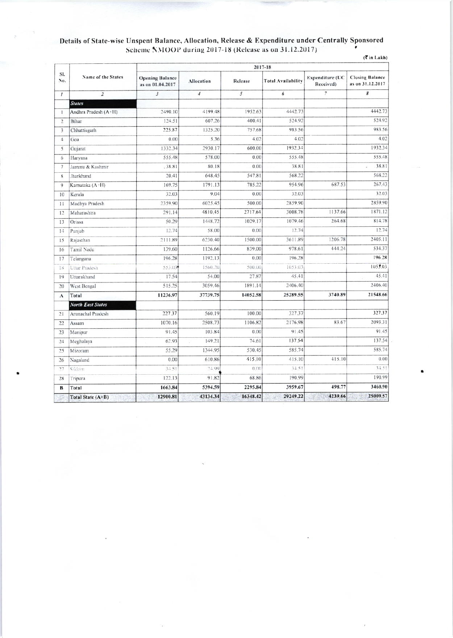# Details of State-wise Unspent Balance, Allocation, Release & Expenditure under Centrally Sponsored<br>Scheme NMOOP during 2017-18 (Release as on 31.12.2017)

|  | $\langle \overline{\mathbf{x}}$ in Lakh) |  |
|--|------------------------------------------|--|

| SI.<br>No.     | Name of the States       | 2017-18                                    |                |          |                           |                                     |                                            |  |
|----------------|--------------------------|--------------------------------------------|----------------|----------|---------------------------|-------------------------------------|--------------------------------------------|--|
|                |                          | <b>Opening Balance</b><br>as on 01.04.2017 | Allocation     | Release  | <b>Total Availability</b> | <b>Expenditure (UC</b><br>Received) | <b>Closing Balance</b><br>as on 31.12.2017 |  |
| $\mathcal{I}$  | $\overline{2}$           | $\overline{\mathbf{3}}$                    | $\overline{4}$ | 5        | 6                         | 7                                   | 8                                          |  |
|                | <b>States</b>            |                                            |                |          |                           |                                     |                                            |  |
| 1              | Andhra Pradesh (A+H)     | 2490.10                                    | 4199.48        | 1952.63  | 4442.73                   |                                     | 4442.73                                    |  |
| $\overline{2}$ | Bihar                    | 124.51                                     | 607.26         | 400.41   | 524.92                    |                                     | 524.92                                     |  |
| 3              | Chhattisgarh             | 225.87                                     | 1325.20        | 757.68   | 983.56                    |                                     | 983.56                                     |  |
| $\overline{4}$ | Goa                      | 0.00                                       | 5.36           | 4.02     | 4.02                      |                                     | 4.02                                       |  |
| 5              | Gujarat                  | 1332.34                                    | 2930.17        | 600.00   | 1932.34                   |                                     | 1932.34                                    |  |
| 6              | Haryana                  | 555.48                                     | 578.00         | 0.00     | 555.48                    |                                     | 555.48                                     |  |
| 7              | Jammu & Kashmir          | .38.81                                     | 80.18          | 0.00     | 38.81                     |                                     | 38.81                                      |  |
| 8              | Jharkhand                | 20.41                                      | 648.45         | 547.81   | 568.22                    |                                     | 568.22                                     |  |
| 9              | Kamataka (A-H)           | 169.75                                     | 1791.13        | 785.22   | 954.96                    | 687.53                              | 267.43                                     |  |
| 10             | Kerala                   | 32.03                                      | 9.04           | 0.00     | 32.03                     |                                     | 32.03                                      |  |
| 11             | Madhya Pradesh           | 2359.90                                    | 6025.45        | 500.00   | 2859.90                   |                                     | 2859.90                                    |  |
| 12             | Maharashtra              | 291.14                                     | 4810.45        | 2717.64  | 3008.78                   | 1137.66                             | 1871.12                                    |  |
| 13             | Orissa                   | 50.29                                      | 1448.72        | 1029.17  | 1079.46                   | 264.68                              | 814.78                                     |  |
| 14             | Punjab                   | 12.74                                      | 58.00          | 0.00     | 12.74                     |                                     | 12.74                                      |  |
| 15             | Rajasthan                | 2111.89                                    | 6230.40        | 1500.00  | 3611.89                   | 1206.78                             | 2405.11                                    |  |
| 16             | Tamil Nadu               | 139.60                                     | 1126.66        | 839.00   | 978.61                    | 444.24                              | 534.37                                     |  |
| 17             | Telangana                | 196.28                                     | 1192.13        | 0.00     | 196.28                    |                                     | 196.28                                     |  |
| 18             | Uttar Pradesh            | 553.03                                     | 1560.20        | 500.00   | 1053.03                   |                                     | 1055.03                                    |  |
| 19             | Uttarakhand              | 17.54                                      | 54.00          | 27.87    | 45.41                     |                                     | 45.41                                      |  |
| 20             | West Bengal              | 515.25                                     | 3059.46        | 1891.14  | 2406.40                   |                                     | 2406.40                                    |  |
| A              | Total                    | 11236.97                                   | 37739.75       | 14052.58 | 25289.55                  | 3740.89                             | 21548.66                                   |  |
|                | <b>North East States</b> |                                            |                |          |                           |                                     |                                            |  |
| 21             | Arunachal Pradesh        | 227.37                                     | 560.19         | 100.00   | 327.37                    |                                     | 327.37                                     |  |
| 22             | Assam                    | 1070.16                                    | 2508.73        | 1106.82  | 2176.98                   | 83.67                               | 2093.31                                    |  |
| 23             | Manipur                  | 91.45                                      | 103.84         | 0.00     | 91.45                     |                                     | 91.45                                      |  |
| 24             | Meghalaya                | 62.93                                      | 149.21         | 74.61    | 137.54                    |                                     | 137.54                                     |  |
| 25             | Mizoram                  | 55.29                                      | 1344.95        | 530.45   | 585.74                    |                                     | 585.74                                     |  |
| 26             | Nagaland                 | 0.00                                       | 610.86         | 415.10   | 415.10                    | 415.10                              | 0.00                                       |  |
| 27             | Sikkim                   | 3.151                                      | 74.99          | (1)(1)   | 3.1.51                    |                                     | 34.51                                      |  |
| 28             | Tripura                  | 122.13                                     | 91.82          | 68.86    | 190.99                    |                                     | 190.99                                     |  |
| B              | Total                    | 1663.84                                    | 5394.59        | 2295.84  | 3959.67                   | 498.77                              | 3460.90                                    |  |
|                | Total State (A+B)        | 12900.81                                   | 43134.34       | 16348.42 | 29249.22                  | 4239.66                             | 25009.57                                   |  |